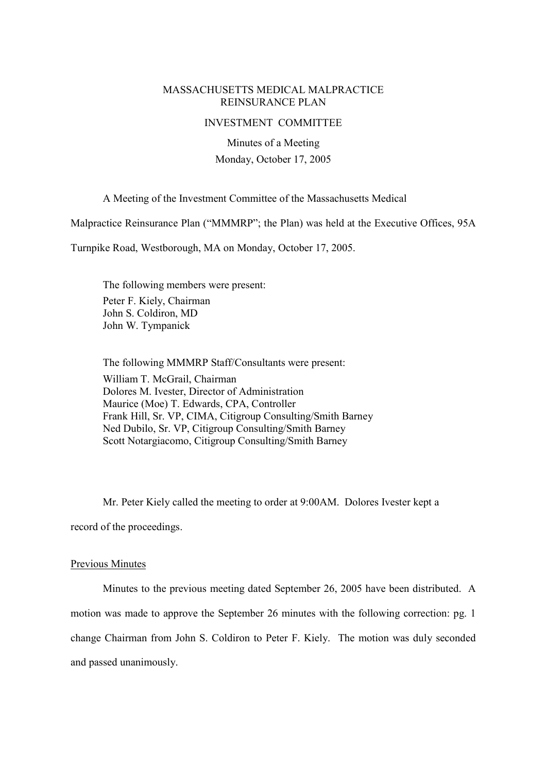## MASSACHUSETTS MEDICAL MALPRACTICE REINSURANCE PLAN

### INVESTMENT COMMITTEE

Minutes of a Meeting Monday, October 17, 2005

A Meeting of the Investment Committee of the Massachusetts Medical

Malpractice Reinsurance Plan ("MMMRP"; the Plan) was held at the Executive Offices, 95A

Turnpike Road, Westborough, MA on Monday, October 17, 2005.

The following members were present: Peter F. Kiely, Chairman John S. Coldiron, MD John W. Tympanick

The following MMMRP Staff/Consultants were present: William T. McGrail, Chairman Dolores M. Ivester, Director of Administration Maurice (Moe) T. Edwards, CPA, Controller Frank Hill, Sr. VP, CIMA, Citigroup Consulting/Smith Barney Ned Dubilo, Sr. VP, Citigroup Consulting/Smith Barney Scott Notargiacomo, Citigroup Consulting/Smith Barney

Mr. Peter Kiely called the meeting to order at 9:00AM. Dolores Ivester kept a record of the proceedings.

#### Previous Minutes

Minutes to the previous meeting dated September 26, 2005 have been distributed. A motion was made to approve the September 26 minutes with the following correction: pg. 1 change Chairman from John S. Coldiron to Peter F. Kiely. The motion was duly seconded and passed unanimously.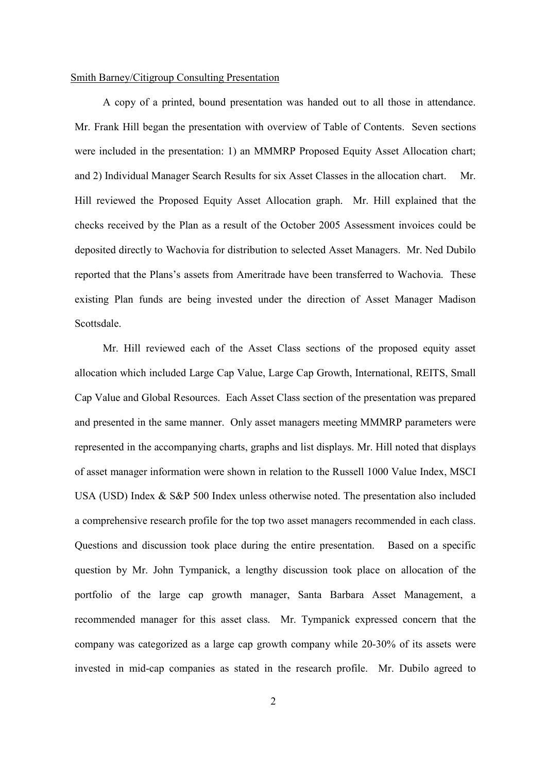## Smith Barney/Citigroup Consulting Presentation

A copy of a printed, bound presentation was handed out to all those in attendance. Mr. Frank Hill began the presentation with overview of Table of Contents. Seven sections were included in the presentation: 1) an MMMRP Proposed Equity Asset Allocation chart; and 2) Individual Manager Search Results for six Asset Classes in the allocation chart. Mr. Hill reviewed the Proposed Equity Asset Allocation graph. Mr. Hill explained that the checks received by the Plan as a result of the October 2005 Assessment invoices could be deposited directly to Wachovia for distribution to selected Asset Managers. Mr. Ned Dubilo reported that the Plans's assets from Ameritrade have been transferred to Wachovia. These existing Plan funds are being invested under the direction of Asset Manager Madison Scottsdale.

Mr. Hill reviewed each of the Asset Class sections of the proposed equity asset allocation which included Large Cap Value, Large Cap Growth, International, REITS, Small Cap Value and Global Resources. Each Asset Class section of the presentation was prepared and presented in the same manner. Only asset managers meeting MMMRP parameters were represented in the accompanying charts, graphs and list displays. Mr. Hill noted that displays of asset manager information were shown in relation to the Russell 1000 Value Index, MSCI USA (USD) Index & S&P 500 Index unless otherwise noted. The presentation also included a comprehensive research profile for the top two asset managers recommended in each class. Questions and discussion took place during the entire presentation. Based on a specific question by Mr. John Tympanick, a lengthy discussion took place on allocation of the portfolio of the large cap growth manager, Santa Barbara Asset Management, a recommended manager for this asset class. Mr. Tympanick expressed concern that the company was categorized as a large cap growth company while 20-30% of its assets were invested in mid-cap companies as stated in the research profile. Mr. Dubilo agreed to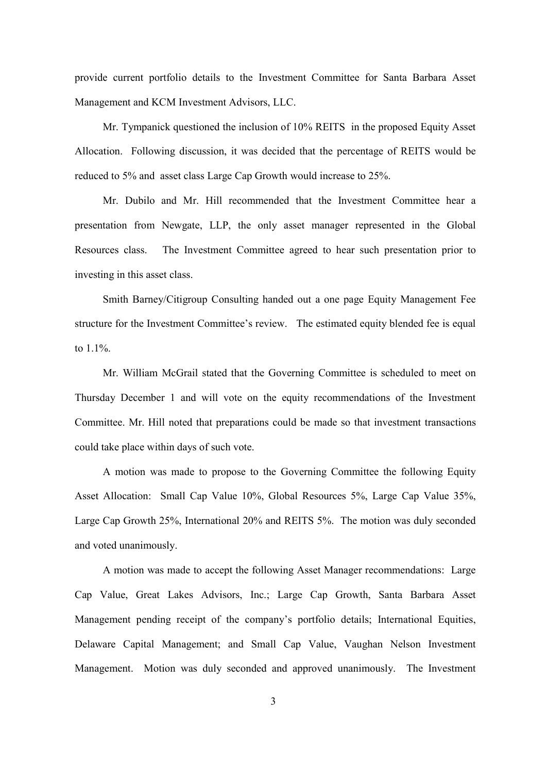provide current portfolio details to the Investment Committee for Santa Barbara Asset Management and KCM Investment Advisors, LLC.

Mr. Tympanick questioned the inclusion of 10% REITS in the proposed Equity Asset Allocation. Following discussion, it was decided that the percentage of REITS would be reduced to 5% and asset class Large Cap Growth would increase to 25%.

Mr. Dubilo and Mr. Hill recommended that the Investment Committee hear a presentation from Newgate, LLP, the only asset manager represented in the Global Resources class. The Investment Committee agreed to hear such presentation prior to investing in this asset class.

Smith Barney/Citigroup Consulting handed out a one page Equity Management Fee structure for the Investment Committee's review. The estimated equity blended fee is equal to 1.1%.

Mr. William McGrail stated that the Governing Committee is scheduled to meet on Thursday December 1 and will vote on the equity recommendations of the Investment Committee. Mr. Hill noted that preparations could be made so that investment transactions could take place within days of such vote.

A motion was made to propose to the Governing Committee the following Equity Asset Allocation: Small Cap Value 10%, Global Resources 5%, Large Cap Value 35%, Large Cap Growth 25%, International 20% and REITS 5%. The motion was duly seconded and voted unanimously.

A motion was made to accept the following Asset Manager recommendations: Large Cap Value, Great Lakes Advisors, Inc.; Large Cap Growth, Santa Barbara Asset Management pending receipt of the company's portfolio details; International Equities, Delaware Capital Management; and Small Cap Value, Vaughan Nelson Investment Management. Motion was duly seconded and approved unanimously. The Investment